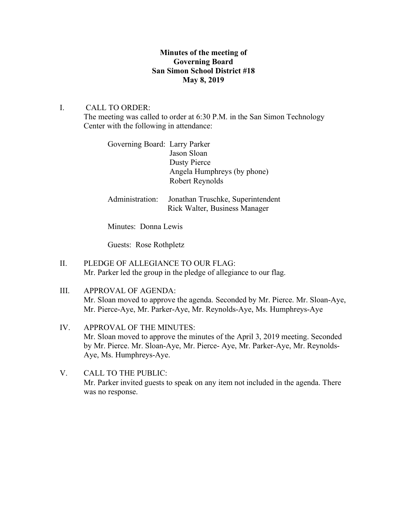## **Minutes of the meeting of Governing Board San Simon School District #18 May 8, 2019**

# I. CALL TO ORDER:

The meeting was called to order at 6:30 P.M. in the San Simon Technology Center with the following in attendance:

| Governing Board: Larry Parker |                             |
|-------------------------------|-----------------------------|
|                               | Jason Sloan                 |
|                               | Dusty Pierce                |
|                               | Angela Humphreys (by phone) |
|                               | Robert Reynolds             |
|                               |                             |

Administration: Jonathan Truschke, Superintendent Rick Walter, Business Manager

Minutes: Donna Lewis

Guests: Rose Rothpletz

- II. PLEDGE OF ALLEGIANCE TO OUR FLAG: Mr. Parker led the group in the pledge of allegiance to our flag.
- III. APPROVAL OF AGENDA: Mr. Sloan moved to approve the agenda. Seconded by Mr. Pierce. Mr. Sloan-Aye, Mr. Pierce-Aye, Mr. Parker-Aye, Mr. Reynolds-Aye, Ms. Humphreys-Aye
- IV. APPROVAL OF THE MINUTES: Mr. Sloan moved to approve the minutes of the April 3, 2019 meeting. Seconded by Mr. Pierce. Mr. Sloan-Aye, Mr. Pierce- Aye, Mr. Parker-Aye, Mr. Reynolds-Aye, Ms. Humphreys-Aye.
- V. CALL TO THE PUBLIC: Mr. Parker invited guests to speak on any item not included in the agenda. There was no response.